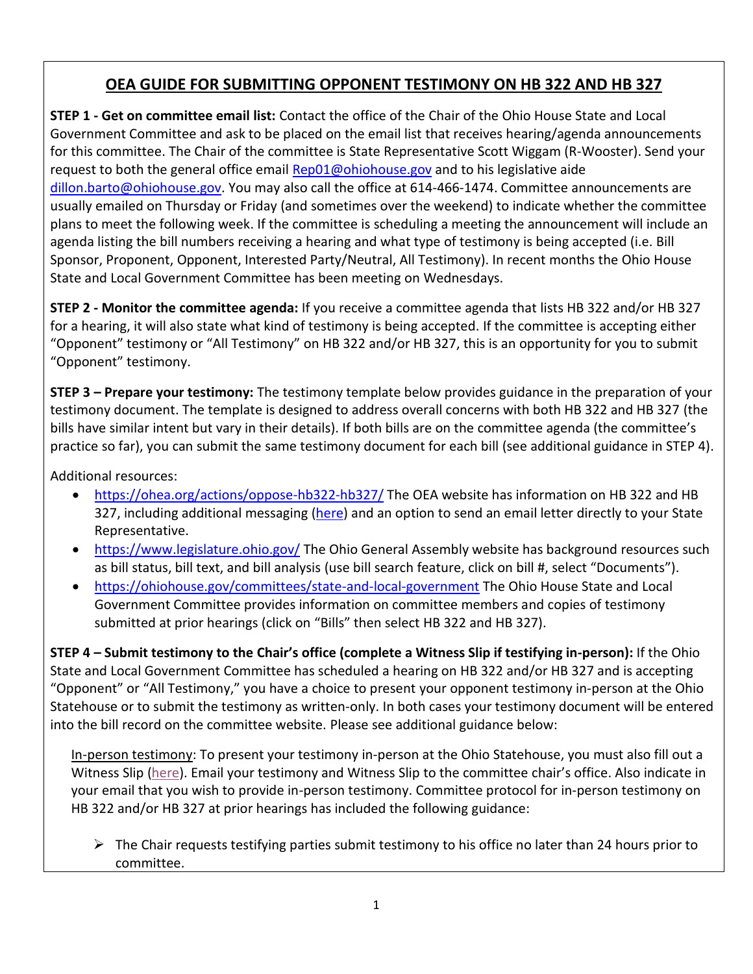# **OEA GUIDE FOR SUBMITTING OPPONENT TESTIMONY ON HB 322 AND HB 327**

**STEP 1 - Get on committee email list:** Contact the office of the Chair of the Ohio House State and Local Government Committee and ask to be placed on the email list that receives hearing/agenda announcements for this committee. The Chair of the committee is State Representative Scott Wiggam (R-Wooster). Send your request to both the general office email **[Rep01@ohiohouse.gov](mailto:Rep01@ohiohouse.gov)** and to his legislative aide [dillon.barto@ohiohouse.gov.](mailto:dillon.barto@ohiohouse.gov) You may also call the office at 614-466-1474. Committee announcements are usually emailed on Thursday or Friday (and sometimes over the weekend) to indicate whether the committee plans to meet the following week. If the committee is scheduling a meeting the announcement will include an agenda listing the bill numbers receiving a hearing and what type of testimony is being accepted (i.e. Bill Sponsor, Proponent, Opponent, Interested Party/Neutral, All Testimony). In recent months the Ohio House State and Local Government Committee has been meeting on Wednesdays.

**STEP 2 - Monitor the committee agenda:** If you receive a committee agenda that lists HB 322 and/or HB 327 for a hearing, it will also state what kind of testimony is being accepted. If the committee is accepting either "Opponent" testimony or "All Testimony" on HB 322 and/or HB 327, this is an opportunity for you to submit "Opponent" testimony.

**STEP 3 – Prepare your testimony:** The testimony template below provides guidance in the preparation of your testimony document. The template is designed to address overall concerns with both HB 322 and HB 327 (the bills have similar intent but vary in their details). If both bills are on the committee agenda (the committee's practice so far), you can submit the same testimony document for each bill (see additional guidance in STEP 4).

Additional resources:

- <https://ohea.org/actions/oppose-hb322-hb327/>The OEA website has information on HB 322 and HB 327, including additional messaging [\(here\)](https://www.ohea.org/honesty-in-education-message-triangle-final2/) and an option to send an email letter directly to your State Representative.
- <https://www.legislature.ohio.gov/> The Ohio General Assembly website has background resources such as bill status, bill text, and bill analysis (use bill search feature, click on bill #, select "Documents").
- <https://ohiohouse.gov/committees/state-and-local-government> The Ohio House State and Local Government Committee provides information on committee members and copies of testimony submitted at prior hearings (click on "Bills" then select HB 322 and HB 327).

**STEP 4 – Submit testimony to the Chair's office (complete a Witness Slip if testifying in-person):** If the Ohio State and Local Government Committee has scheduled a hearing on HB 322 and/or HB 327 and is accepting "Opponent" or "All Testimony," you have a choice to present your opponent testimony in-person at the Ohio Statehouse or to submit the testimony as written-only. In both cases your testimony document will be entered into the bill record on the committee website. Please see additional guidance below:

In-person testimony: To present your testimony in-person at the Ohio Statehouse, you must also fill out a Witness Slip [\(here\)](https://www.ohea.org/committee-testimony-witness-slip/). Email your testimony and Witness Slip to the committee chair's office. Also indicate in your email that you wish to provide in-person testimony. Committee protocol for in-person testimony on HB 322 and/or HB 327 at prior hearings has included the following guidance:

 $\triangleright$  The Chair requests testifying parties submit testimony to his office no later than 24 hours prior to committee.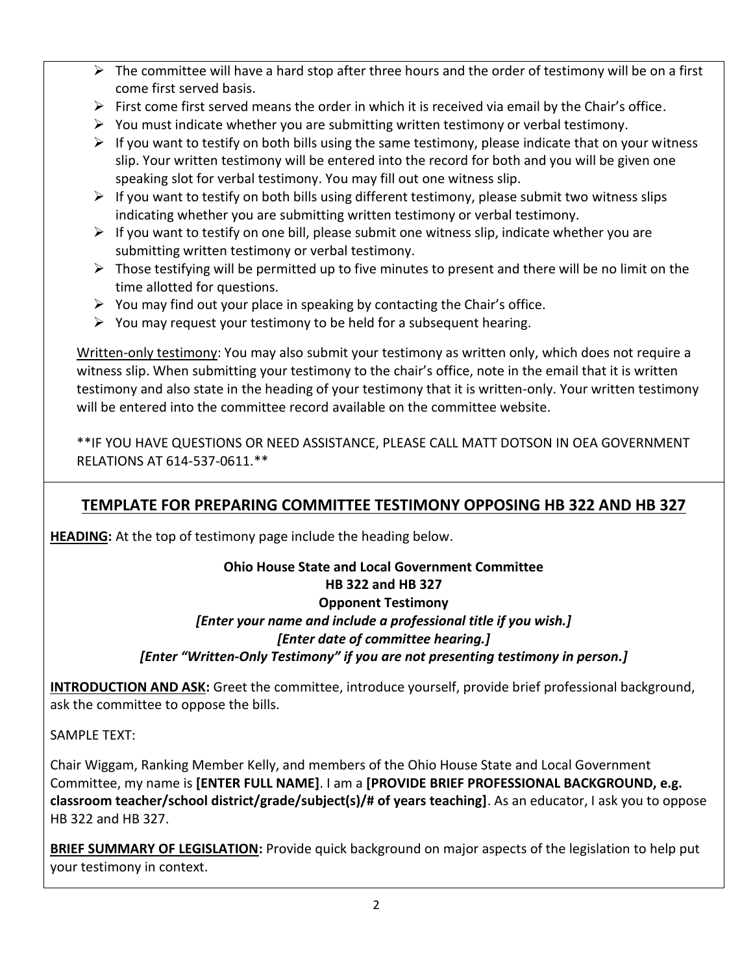- $\triangleright$  The committee will have a hard stop after three hours and the order of testimony will be on a first come first served basis.
- $\triangleright$  First come first served means the order in which it is received via email by the Chair's office.
- $\triangleright$  You must indicate whether you are submitting written testimony or verbal testimony.
- $\triangleright$  If you want to testify on both bills using the same testimony, please indicate that on your witness slip. Your written testimony will be entered into the record for both and you will be given one speaking slot for verbal testimony. You may fill out one witness slip.
- $\triangleright$  If you want to testify on both bills using different testimony, please submit two witness slips indicating whether you are submitting written testimony or verbal testimony.
- $\triangleright$  If you want to testify on one bill, please submit one witness slip, indicate whether you are submitting written testimony or verbal testimony.
- $\triangleright$  Those testifying will be permitted up to five minutes to present and there will be no limit on the time allotted for questions.
- $\triangleright$  You may find out your place in speaking by contacting the Chair's office.
- $\triangleright$  You may request your testimony to be held for a subsequent hearing.

Written-only testimony: You may also submit your testimony as written only, which does not require a witness slip. When submitting your testimony to the chair's office, note in the email that it is written testimony and also state in the heading of your testimony that it is written-only. Your written testimony will be entered into the committee record available on the committee website.

\*\*IF YOU HAVE QUESTIONS OR NEED ASSISTANCE, PLEASE CALL MATT DOTSON IN OEA GOVERNMENT RELATIONS AT 614-537-0611.\*\*

## **TEMPLATE FOR PREPARING COMMITTEE TESTIMONY OPPOSING HB 322 AND HB 327**

**HEADING:** At the top of testimony page include the heading below.

### **Ohio House State and Local Government Committee HB 322 and HB 327 Opponent Testimony**  *[Enter your name and include a professional title if you wish.] [Enter date of committee hearing.] [Enter "Written-Only Testimony" if you are not presenting testimony in person.]*

**INTRODUCTION AND ASK:** Greet the committee, introduce yourself, provide brief professional background, ask the committee to oppose the bills.

SAMPLE TEXT:

Chair Wiggam, Ranking Member Kelly, and members of the Ohio House State and Local Government Committee, my name is **[ENTER FULL NAME]**. I am a **[PROVIDE BRIEF PROFESSIONAL BACKGROUND, e.g. classroom teacher/school district/grade/subject(s)/# of years teaching]**. As an educator, I ask you to oppose HB 322 and HB 327.

**BRIEF SUMMARY OF LEGISLATION:** Provide quick background on major aspects of the legislation to help put your testimony in context.